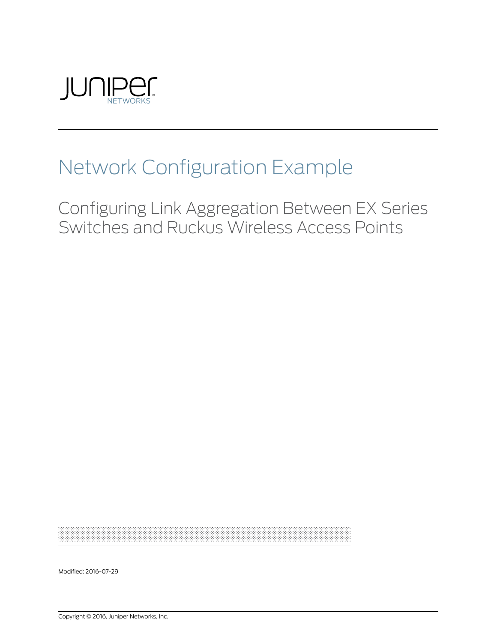

## Network Configuration Example

Configuring Link Aggregation Between EX Series Switches and Ruckus Wireless Access Points

Modified: 2016-07-29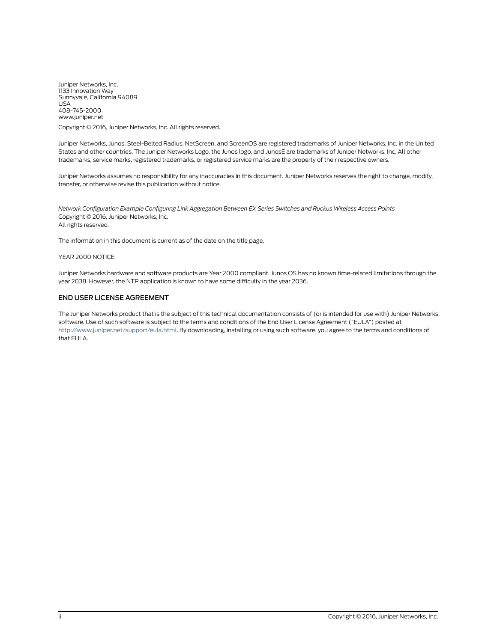Juniper Networks, Inc. 1133 Innovation Way Sunnyvale, California 94089 USA 408-745-2000 www.juniper.net

Copyright © 2016, Juniper Networks, Inc. All rights reserved.

Juniper Networks, Junos, Steel-Belted Radius, NetScreen, and ScreenOS are registered trademarks of Juniper Networks, Inc. in the United States and other countries. The Juniper Networks Logo, the Junos logo, and JunosE are trademarks of Juniper Networks, Inc. All other trademarks, service marks, registered trademarks, or registered service marks are the property of their respective owners.

Juniper Networks assumes no responsibility for any inaccuracies in this document. Juniper Networks reserves the right to change, modify, transfer, or otherwise revise this publication without notice.

*Network Configuration Example Configuring Link Aggregation Between EX Series Switches and Ruckus Wireless Access Points* Copyright © 2016, Juniper Networks, Inc. All rights reserved.

The information in this document is current as of the date on the title page.

#### YEAR 2000 NOTICE

Juniper Networks hardware and software products are Year 2000 compliant. Junos OS has no known time-related limitations through the year 2038. However, the NTP application is known to have some difficulty in the year 2036.

#### END USER LICENSE AGREEMENT

The Juniper Networks product that is the subject of this technical documentation consists of (or is intended for use with) Juniper Networks software. Use of such software is subject to the terms and conditions of the End User License Agreement ("EULA") posted at <http://www.juniper.net/support/eula.html>. By downloading, installing or using such software, you agree to the terms and conditions of that EULA.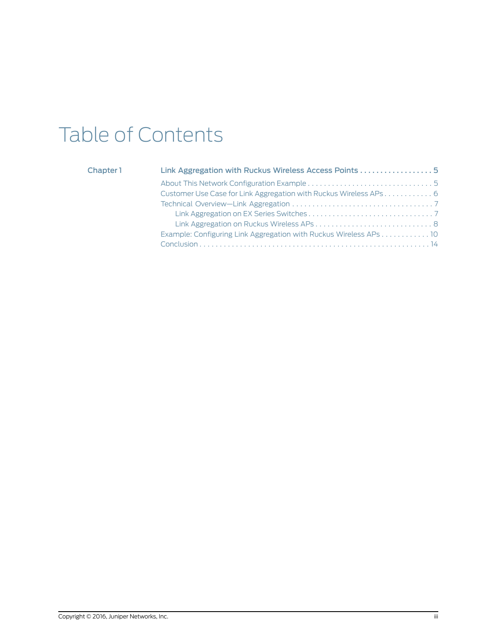# Table of Contents

## [Chapter](#page-4-0) 1

| Link Aggregation with Ruckus Wireless Access Points 5             |
|-------------------------------------------------------------------|
|                                                                   |
| Customer Use Case for Link Aggregation with Ruckus Wireless APs 6 |
|                                                                   |
|                                                                   |
|                                                                   |
| Example: Configuring Link Aggregation with Ruckus Wireless APs 10 |
|                                                                   |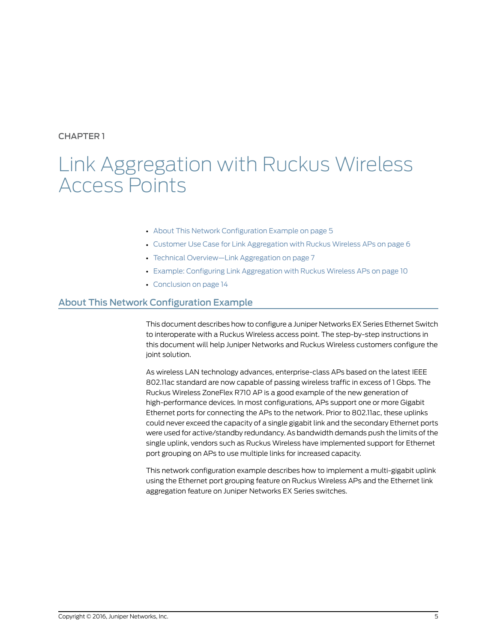## <span id="page-4-0"></span>CHAPTER 1

## Link Aggregation with Ruckus Wireless Access Points

- About This Network [Configuration](#page-4-1) Example on [page](#page-4-1) 5
- Customer Use Case for Link [Aggregation](#page-5-0) with Ruckus Wireless APs on [page](#page-5-0) 6
- Technical [Overview—Link](#page-6-0) Aggregation on [page](#page-6-0) 7
- Example: Configuring Link [Aggregation](#page-9-0) with Ruckus Wireless APs on [page](#page-9-0) 10
- [Conclusion](#page-13-0) on [page](#page-13-0) 14

## <span id="page-4-1"></span>About This Network Configuration Example

This document describes how to configure a Juniper Networks EX Series Ethernet Switch to interoperate with a Ruckus Wireless access point. The step-by-step instructions in this document will help Juniper Networks and Ruckus Wireless customers configure the joint solution.

As wireless LAN technology advances, enterprise-class APs based on the latest IEEE 802.11ac standard are now capable of passing wireless traffic in excess of 1 Gbps. The Ruckus Wireless ZoneFlex R710 AP is a good example of the new generation of high-performance devices. In most configurations, APs support one or more Gigabit Ethernet ports for connecting the APs to the network. Prior to 802.11ac, these uplinks could never exceed the capacity of a single gigabit link and the secondary Ethernet ports were used for active/standby redundancy. As bandwidth demands push the limits of the single uplink, vendors such as Ruckus Wireless have implemented support for Ethernet port grouping on APs to use multiple links for increased capacity.

This network configuration example describes how to implement a multi-gigabit uplink using the Ethernet port grouping feature on Ruckus Wireless APs and the Ethernet link aggregation feature on Juniper Networks EX Series switches.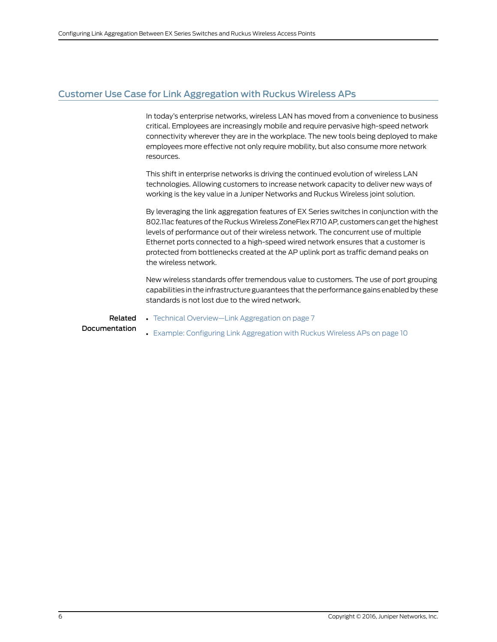## <span id="page-5-0"></span>Customer Use Case for Link Aggregation with Ruckus Wireless APs

In today's enterprise networks, wireless LAN has moved from a convenience to business critical. Employees are increasingly mobile and require pervasive high-speed network connectivity wherever they are in the workplace. The new tools being deployed to make employees more effective not only require mobility, but also consume more network resources.

This shift in enterprise networks is driving the continued evolution of wireless LAN technologies. Allowing customers to increase network capacity to deliver new ways of working is the key value in a Juniper Networks and Ruckus Wireless joint solution.

By leveraging the link aggregation features of EX Series switches in conjunction with the 802.11ac features of the Ruckus Wireless ZoneFlex R710 AP, customers can get the highest levels of performance out of their wireless network. The concurrent use of multiple Ethernet ports connected to a high-speed wired network ensures that a customer is protected from bottlenecks created at the AP uplink port as traffic demand peaks on the wireless network.

New wireless standards offer tremendous value to customers. The use of port grouping capabilities in the infrastructure guarantees that the performance gains enabled by these standards is not lost due to the wired network.

Related Documentation

• Example: Configuring Link [Aggregation](#page-9-0) with Ruckus Wireless APs on page 10

• Technical [Overview—Link](#page-6-0) Aggregation on page 7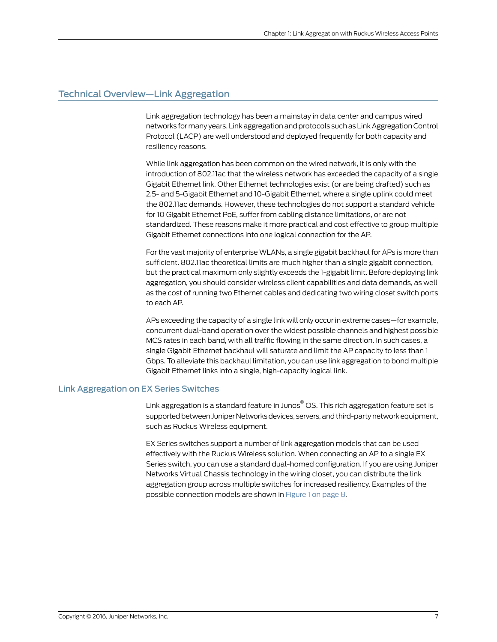## <span id="page-6-0"></span>Technical Overview—Link Aggregation

Link aggregation technology has been a mainstay in data center and campus wired networks for many years. Link aggregation and protocols such as Link Aggregation Control Protocol (LACP) are well understood and deployed frequently for both capacity and resiliency reasons.

While link aggregation has been common on the wired network, it is only with the introduction of 802.11ac that the wireless network has exceeded the capacity of a single Gigabit Ethernet link. Other Ethernet technologies exist (or are being drafted) such as 2.5- and 5-Gigabit Ethernet and 10-Gigabit Ethernet, where a single uplink could meet the 802.11ac demands. However, these technologies do not support a standard vehicle for 10 Gigabit Ethernet PoE, suffer from cabling distance limitations, or are not standardized. These reasons make it more practical and cost effective to group multiple Gigabit Ethernet connections into one logical connection for the AP.

For the vast majority of enterprise WLANs, a single gigabit backhaul for APs is more than sufficient. 802.11ac theoretical limits are much higher than a single gigabit connection, but the practical maximum only slightly exceeds the 1-gigabit limit. Before deploying link aggregation, you should consider wireless client capabilities and data demands, as well as the cost of running two Ethernet cables and dedicating two wiring closet switch ports to each AP.

APs exceeding the capacity of a single link will only occur in extreme cases—for example, concurrent dual-band operation over the widest possible channels and highest possible MCS rates in each band, with all traffic flowing in the same direction. In such cases, a single Gigabit Ethernet backhaul will saturate and limit the AP capacity to less than 1 Gbps. To alleviate this backhaul limitation, you can use link aggregation to bond multiple Gigabit Ethernet links into a single, high-capacity logical link.

#### <span id="page-6-1"></span>Link Aggregation on EX Series Switches

Link aggregation is a standard feature in Junos ® OS. This rich aggregation feature set is supported between Juniper Networks devices, servers, and third-party network equipment, such as Ruckus Wireless equipment.

EX Series switches support a number of link aggregation models that can be used effectively with the Ruckus Wireless solution. When connecting an AP to a single EX Series switch, you can use a standard dual-homed configuration. If you are using Juniper Networks Virtual Chassis technology in the wiring closet, you can distribute the link aggregation group across multiple switches for increased resiliency. Examples of the possible connection models are shown in [Figure](#page-7-1) 1 on page 8.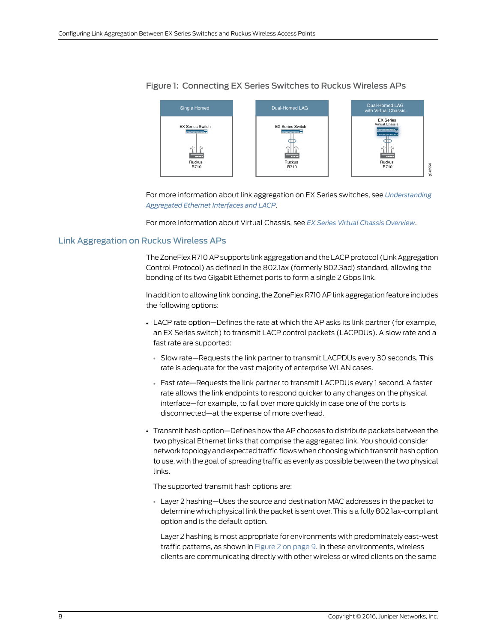

#### <span id="page-7-1"></span>Figure 1: Connecting EX Series Switches to Ruckus Wireless APs

For more information about link aggregation on EX Series switches, see *[Understanding](http://www.juniper.net/techpubs/en_US/junos/topics/concept/interfaces-lag-overview.html) [Aggregated](http://www.juniper.net/techpubs/en_US/junos/topics/concept/interfaces-lag-overview.html) Ethernet Interfaces and LACP*.

For more information about Virtual Chassis, see *EX Series Virtual Chassis [Overview](www.juniper.net/techpubs/en_US/junos/topics/concept/virtual-chassis-ex4200-overview.html)*.

#### <span id="page-7-0"></span>Link Aggregation on Ruckus Wireless APs

The ZoneFlex R710 AP supports link aggregation and the LACP protocol (Link Aggregation Control Protocol) as defined in the 802.1ax (formerly 802.3ad) standard, allowing the bonding of its two Gigabit Ethernet ports to form a single 2 Gbps link.

In addition to allowing link bonding, the ZoneFlex R710 AP link aggregation feature includes the following options:

- LACP rate option—Defines the rate at which the AP asks its link partner (for example, an EX Series switch) to transmit LACP control packets (LACPDUs). A slow rate and a fast rate are supported:
	- Slow rate—Requests the link partner to transmit LACPDUs every 30 seconds. This rate is adequate for the vast majority of enterprise WLAN cases.
	- Fast rate—Requests the link partner to transmit LACPDUs every 1 second. A faster rate allows the link endpoints to respond quicker to any changes on the physical interface—for example, to fail over more quickly in case one of the ports is disconnected—at the expense of more overhead.
- Transmit hash option—Defines how the AP chooses to distribute packets between the two physical Ethernet links that comprise the aggregated link. You should consider network topology and expected traffic flows when choosing which transmit hash option to use, with the goal of spreading traffic as evenly as possible between the two physical links.

The supported transmit hash options are:

• Layer 2 hashing—Uses the source and destination MAC addresses in the packet to determine which physical link the packet is sent over. This is a fully 802.1ax-compliant option and is the default option.

Layer 2 hashing is most appropriate for environments with predominately east-west traffic patterns, as shown in [Figure](#page-8-0) 2 on page 9. In these environments, wireless clients are communicating directly with other wireless or wired clients on the same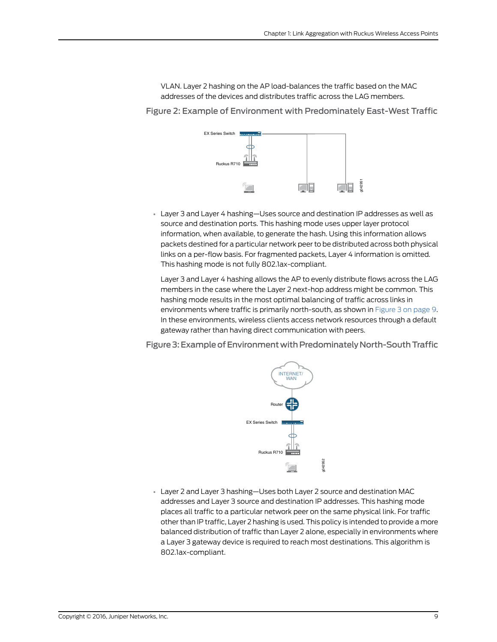VLAN. Layer 2 hashing on the AP load-balances the traffic based on the MAC addresses of the devices and distributes traffic across the LAG members.

<span id="page-8-0"></span>Figure 2: Example of Environment with Predominately East-West Traffic



• Layer 3 and Layer 4 hashing—Uses source and destination IP addresses as well as source and destination ports. This hashing mode uses upper layer protocol information, when available, to generate the hash. Using this information allows packets destined for a particular network peer to be distributed across both physical links on a per-flow basis. For fragmented packets, Layer 4 information is omitted. This hashing mode is not fully 802.1ax-compliant.

Layer 3 and Layer 4 hashing allows the AP to evenly distribute flows across the LAG members in the case where the Layer 2 next-hop address might be common. This hashing mode results in the most optimal balancing of traffic across links in environments where traffic is primarily north-south, as shown in [Figure](#page-8-1) 3 on page 9. In these environments, wireless clients access network resources through a default gateway rather than having direct communication with peers.

<span id="page-8-1"></span>Figure 3: Example of Environment with Predominately North-South Traffic



• Layer 2 and Layer 3 hashing—Uses both Layer 2 source and destination MAC addresses and Layer 3 source and destination IP addresses. This hashing mode places all traffic to a particular network peer on the same physical link. For traffic other than IP traffic, Layer 2 hashing is used. This policy is intended to provide a more balanced distribution of traffic than Layer 2 alone, especially in environments where a Layer 3 gateway device is required to reach most destinations. This algorithm is 802.1ax-compliant.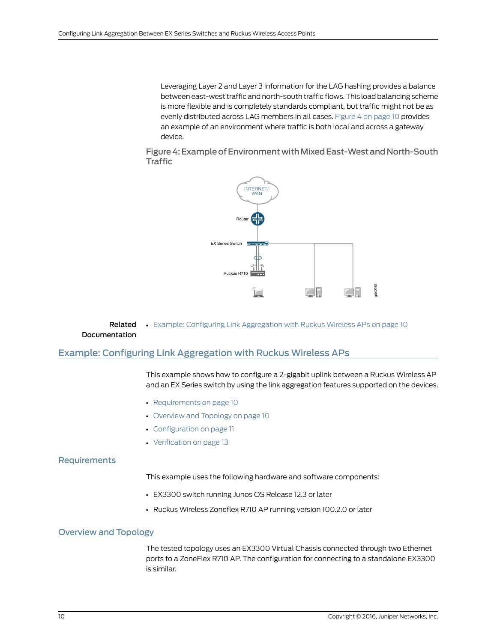Leveraging Layer 2 and Layer 3 information for the LAG hashing provides a balance between east-west traffic and north-south traffic flows.This load balancing scheme is more flexible and is completely standards compliant, but traffic might not be as evenly distributed across LAG members in all cases. [Figure](#page-9-1) 4 on page 10 provides an example of an environment where traffic is both local and across a gateway device.

<span id="page-9-1"></span>Figure 4: Example of Environment with Mixed East-West and North-South **Traffic** 



<span id="page-9-0"></span>Related • Example: Configuring Link [Aggregation](#page-9-0) with Ruckus Wireless APs on page 10 Documentation

### Example: Configuring Link Aggregation with Ruckus Wireless APs

This example shows how to configure a 2-gigabit uplink between a Ruckus Wireless AP and an EX Series switch by using the link aggregation features supported on the devices.

- [Requirements](#page-9-2) on [page](#page-9-2) 10
- [Overview](#page-9-3) and Topology on [page](#page-9-3) 10
- [Configuration](#page-10-0) on [page](#page-10-0) 11
- [Verification](#page-12-0) on [page](#page-12-0) 13

#### <span id="page-9-3"></span><span id="page-9-2"></span>**Requirements**

This example uses the following hardware and software components:

- EX3300 switch running Junos OS Release 12.3 or later
- Ruckus Wireless Zoneflex R710 AP running version 100.2.0 or later

#### Overview and Topology

The tested topology uses an EX3300 Virtual Chassis connected through two Ethernet ports to a ZoneFlex R710 AP. The configuration for connecting to a standalone EX3300 is similar.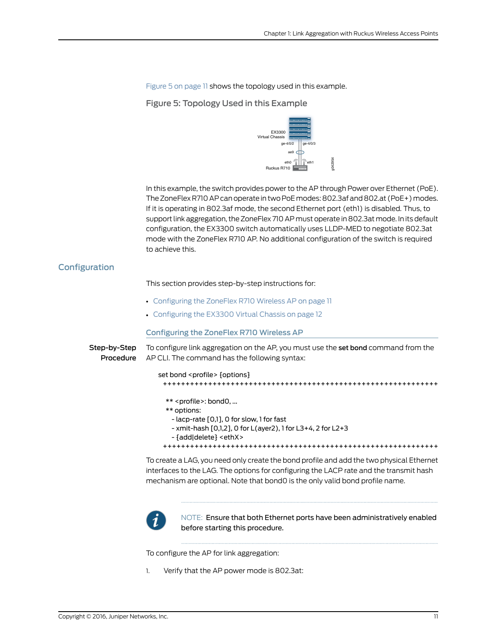g042954

<span id="page-10-1"></span>[Figure](#page-10-1) 5 on page 11 shows the topology used in this example.

Figure 5: Topology Used in this Example



In this example, the switch provides power to the AP through Power over Ethernet (PoE). The ZoneFlex R710 AP can operate in two PoE modes: 802.3af and 802.at (PoE+) modes. If it is operating in 802.3af mode, the second Ethernet port (eth1) is disabled. Thus, to support link aggregation, the ZoneFlex 710 AP must operate in 802.3at mode. In its default configuration, the EX3300 switch automatically uses LLDP-MED to negotiate 802.3at mode with the ZoneFlex R710 AP. No additional configuration of the switch is required to achieve this.

### <span id="page-10-0"></span>Configuration

This section provides step-by-step instructions for:

- <span id="page-10-2"></span>• [Configuring](#page-10-2) the ZoneFlex R710 Wireless AP on [page](#page-10-2) 11
- [Configuring](#page-11-0) the EX3300 Virtual Chassis on [page](#page-11-0) 12

#### Configuring the ZoneFlex R710 Wireless AP

| Step-bv-Step | To configure link aggregation on the AP, you must use the set bond command from the<br><b>Procedure</b> AP CLI. The command has the following syntax: |
|--------------|-------------------------------------------------------------------------------------------------------------------------------------------------------|
|              | set bond <profile> {options}</profile>                                                                                                                |
|              |                                                                                                                                                       |
|              | $**$ < profile >: bond0,                                                                                                                              |
|              | ** options:                                                                                                                                           |
|              | - lacp-rate [0,1], 0 for slow, 1 for fast                                                                                                             |
|              | - xmit-hash [0,1,2], 0 for L(ayer2), 1 for L3+4, 2 for L2+3                                                                                           |
|              | $-$ faddldelete $\overline{\cdot}$ <eth<math>\overline{\cdot} &lt;</eth<math>                                                                         |
|              |                                                                                                                                                       |
|              |                                                                                                                                                       |

To create a LAG, you need only create the bond profile and add the two physical Ethernet interfaces to the LAG. The options for configuring the LACP rate and the transmit hash mechanism are optional. Note that bond0 is the only valid bond profile name.



NOTE: Ensure that both Ethernet ports have been administratively enabled before starting this procedure.

To configure the AP for link aggregation:

1. Verify that the AP power mode is 802.3at: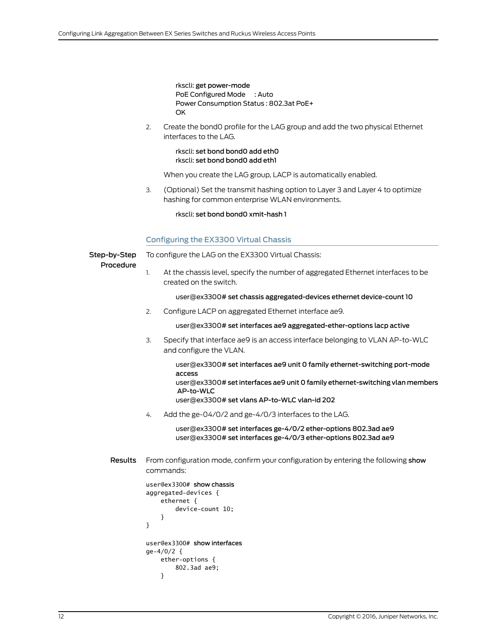rkscli: get power-mode PoE Configured Mode : Auto Power Consumption Status : 802.3at PoE+ OK

2. Create the bond0 profile for the LAG group and add the two physical Ethernet interfaces to the LAG.

> rkscli: set bond bond0 add eth0 rkscli: set bond bond0 add eth1

When you create the LAG group, LACP is automatically enabled.

3. (Optional) Set the transmit hashing option to Layer 3 and Layer 4 to optimize hashing for common enterprise WLAN environments.

rkscli: set bond bond0 xmit-hash 1

#### <span id="page-11-0"></span>Configuring the EX3300 Virtual Chassis

Step-by-Step Procedure To configure the LAG on the EX3300 Virtual Chassis:

At the chassis level, specify the number of aggregated Ethernet interfaces to be created on the switch. 1.

user@ex3300# set chassis aggregated-devices ethernet device-count 10

2. Configure LACP on aggregated Ethernet interface ae9.

user@ex3300# set interfaces ae9 aggregated-ether-options lacp active

3. Specify that interface ae9 is an access interface belonging to VLAN AP-to-WLC and configure the VLAN.

> user@ex3300# set interfaces ae9 unit 0 family ethernet-switching port-mode access user@ex3300# set interfaces ae9 unit 0 family ethernet-switching vlan members AP-to-WLC user@ex3300# set vlans AP-to-WLC vlan-id 202

4. Add the ge-04/0/2 and ge-4/0/3 interfaces to the LAG.

user@ex3300# set interfaces ge-4/0/2 ether-options 802.3ad ae9 user@ex3300# set interfaces ge-4/0/3 ether-options 802.3ad ae9

Results From configuration mode, confirm your configuration by entering the following show commands:

```
user@ex3300# show chassis
aggregated-devices { 
     ethernet { 
          device-count 10; 
     } 
} 
user@ex3300# show interfaces
ge-4/0/2 {
     ether-options {
          802.3ad ae9;
     }
```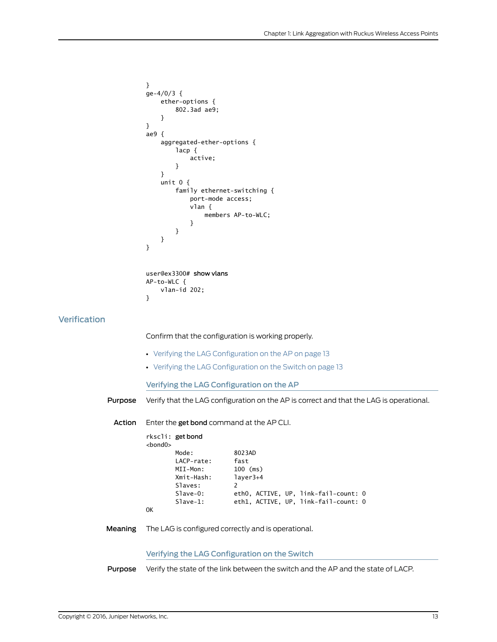```
}
ge-4/0/3 {
     ether-options {
          802.3ad ae9;
     }
} 
ae9 {
     aggregated-ether-options {
         lacp {
              active;
          }
     }
     unit 0 {
          family ethernet-switching {
              port-mode access;
              vlan {
                  members AP-to-WLC;
              }
         }
     }
}
user@ex3300# show vlans
AP-to-WLC {
     vlan-id 202;
}
```
Confirm that the configuration is working properly.

- <span id="page-12-1"></span>• Verifying the LAG [Configuration](#page-12-1) on the AP on [page](#page-12-1) 13
- Verifying the LAG [Configuration](#page-12-2) on the Switch on [page](#page-12-2) 13

Verifying the LAG Configuration on the AP

Purpose Verify that the LAG configuration on the AP is correct and that the LAG is operational.

Action Enter the get bond command at the AP CLI.

|                | rkscli: get bond |                                      |
|----------------|------------------|--------------------------------------|
| $<$ bond $0$ > |                  |                                      |
|                | Mode:            | 8023AD                               |
|                | LACP-rate:       | fast                                 |
|                | MII-Mon:         | $100$ (ms)                           |
|                | Xmit-Hash:       | layer3+4                             |
|                | Slaves:          | $\mathcal{P}$                        |
|                | $S1ave-0$ :      | eth0, ACTIVE, UP, link-fail-count: 0 |
|                | $S1ave-1$ :      | eth1, ACTIVE, UP, link-fail-count: 0 |
| 0K             |                  |                                      |

<span id="page-12-2"></span>Meaning The LAG is configured correctly and is operational.

Verifying the LAG Configuration on the Switch

Purpose Verify the state of the link between the switch and the AP and the state of LACP.

<span id="page-12-0"></span>**Verification**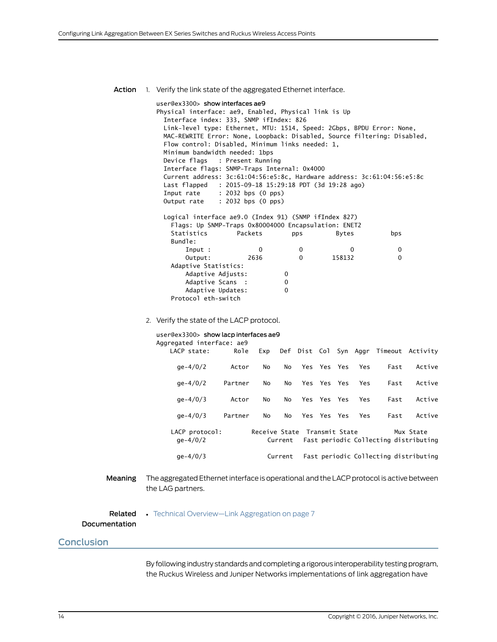Action 1. Verify the link state of the aggregated Ethernet interface. user@ex3300> show interfaces ae9 Physical interface: ae9, Enabled, Physical link is Up Interface index: 333, SNMP ifIndex: 826 Link-level type: Ethernet, MTU: 1514, Speed: 2Gbps, BPDU Error: None, MAC-REWRITE Error: None, Loopback: Disabled, Source filtering: Disabled, Flow control: Disabled, Minimum links needed: 1, Minimum bandwidth needed: 1bps Device flags : Present Running Interface flags: SNMP-Traps Internal: 0x4000 Current address: 3c:61:04:56:e5:8c, Hardware address: 3c:61:04:56:e5:8c Last flapped : 2015-09-18 15:29:18 PDT (3d 19:28 ago) Input rate : 2032 bps (0 pps) Output rate : 2032 bps (0 pps) Logical interface ae9.0 (Index 91) (SNMP ifIndex 827) Flags: Up SNMP-Traps 0x80004000 Encapsulation: ENET2 Statistics Packets pps Bytes bps Bundle: Input : 0 0 0 0 Output: 2636 0 158132 0 Adaptive Statistics: Adaptive Adjusts: 0 Adaptive Scans : 0 Adaptive Updates: 0 Protocol eth-switch 2. Verify the state of the LACP protocol. user@ex3300> show lacp interfaces ae9 Aggregated interface: ae9 LACP state: Role Exp Def Dist Col Syn Aggr Timeout Activity ge-4/0/2 Actor No No Yes Yes Yes Yes Fast Active ge-4/0/2 Partner No No Yes Yes Yes Yes Fast Active ge-4/0/3 Actor No No Yes Yes Yes Yes Fast Active ge-4/0/3 Partner No No Yes Yes Yes Yes Fast Active LACP protocol: Receive State Transmit State Mux State ge-4/0/2 Current Fast periodic Collecting distributing ge-4/0/3 Current Fast periodic Collecting distributing Meaning The aggregated Ethernet interface is operational and the LACP protocol is active between the LAG partners. Related Documentation • Technical [Overview—Link](#page-6-0) Aggregation on page 7 **Conclusion** 

> <span id="page-13-0"></span>By following industry standards and completing a rigorous interoperability testing program, the Ruckus Wireless and Juniper Networks implementations of link aggregation have